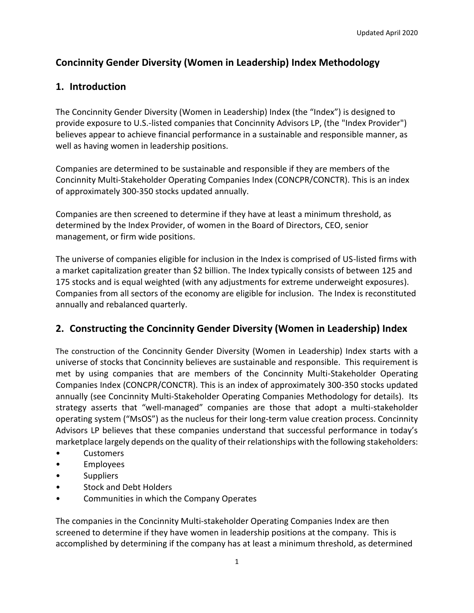# **Concinnity Gender Diversity (Women in Leadership) Index Methodology**

## **1. Introduction**

The Concinnity Gender Diversity (Women in Leadership) Index (the "Index") is designed to provide exposure to U.S.-listed companies that Concinnity Advisors LP, (the "Index Provider") believes appear to achieve financial performance in a sustainable and responsible manner, as well as having women in leadership positions.

Companies are determined to be sustainable and responsible if they are members of the Concinnity Multi-Stakeholder Operating Companies Index (CONCPR/CONCTR). This is an index of approximately 300-350 stocks updated annually.

Companies are then screened to determine if they have at least a minimum threshold, as determined by the Index Provider, of women in the Board of Directors, CEO, senior management, or firm wide positions.

The universe of companies eligible for inclusion in the Index is comprised of US-listed firms with a market capitalization greater than \$2 billion. The Index typically consists of between 125 and 175 stocks and is equal weighted (with any adjustments for extreme underweight exposures). Companies from all sectors of the economy are eligible for inclusion. The Index is reconstituted annually and rebalanced quarterly.

## **2. Constructing the Concinnity Gender Diversity (Women in Leadership) Index**

The construction of the Concinnity Gender Diversity (Women in Leadership) Index starts with a universe of stocks that Concinnity believes are sustainable and responsible. This requirement is met by using companies that are members of the Concinnity Multi-Stakeholder Operating Companies Index (CONCPR/CONCTR). This is an index of approximately 300-350 stocks updated annually (see Concinnity Multi-Stakeholder Operating Companies Methodology for details). Its strategy asserts that "well-managed" companies are those that adopt a multi-stakeholder operating system ("MsOS") as the nucleus for their long-term value creation process. Concinnity Advisors LP believes that these companies understand that successful performance in today's marketplace largely depends on the quality of their relationships with the following stakeholders:

- Customers
- Employees
- Suppliers
- Stock and Debt Holders
- Communities in which the Company Operates

The companies in the Concinnity Multi-stakeholder Operating Companies Index are then screened to determine if they have women in leadership positions at the company. This is accomplished by determining if the company has at least a minimum threshold, as determined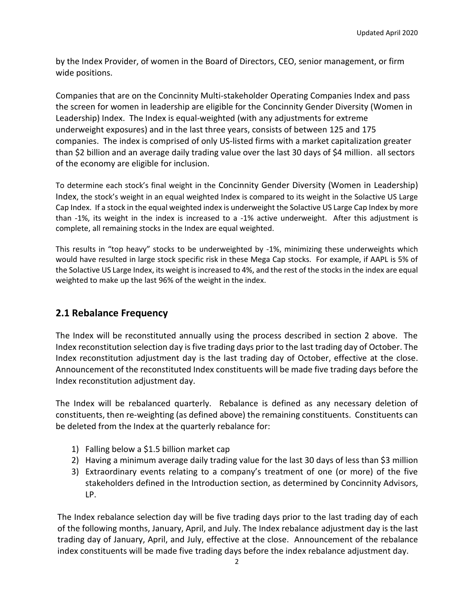by the Index Provider, of women in the Board of Directors, CEO, senior management, or firm wide positions.

Companies that are on the Concinnity Multi-stakeholder Operating Companies Index and pass the screen for women in leadership are eligible for the Concinnity Gender Diversity (Women in Leadership) Index. The Index is equal-weighted (with any adjustments for extreme underweight exposures) and in the last three years, consists of between 125 and 175 companies. The index is comprised of only US-listed firms with a market capitalization greater than \$2 billion and an average daily trading value over the last 30 days of \$4 million. all sectors of the economy are eligible for inclusion.

To determine each stock's final weight in the Concinnity Gender Diversity (Women in Leadership) Index, the stock's weight in an equal weighted Index is compared to its weight in the Solactive US Large Cap Index. If a stock in the equal weighted index is underweight the Solactive US Large Cap Index by more than -1%, its weight in the index is increased to a -1% active underweight. After this adjustment is complete, all remaining stocks in the Index are equal weighted.

This results in "top heavy" stocks to be underweighted by -1%, minimizing these underweights which would have resulted in large stock specific risk in these Mega Cap stocks. For example, if AAPL is 5% of the Solactive US Large Index, its weight is increased to 4%, and the rest of the stocks in the index are equal weighted to make up the last 96% of the weight in the index.

## **2.1 Rebalance Frequency**

The Index will be reconstituted annually using the process described in section 2 above. The Index reconstitution selection day is five trading days prior to the last trading day of October. The Index reconstitution adjustment day is the last trading day of October, effective at the close. Announcement of the reconstituted Index constituents will be made five trading days before the Index reconstitution adjustment day.

The Index will be rebalanced quarterly. Rebalance is defined as any necessary deletion of constituents, then re-weighting (as defined above) the remaining constituents. Constituents can be deleted from the Index at the quarterly rebalance for:

- 1) Falling below a \$1.5 billion market cap
- 2) Having a minimum average daily trading value for the last 30 days of less than \$3 million
- 3) Extraordinary events relating to a company's treatment of one (or more) of the five stakeholders defined in the Introduction section, as determined by Concinnity Advisors, LP.

The Index rebalance selection day will be five trading days prior to the last trading day of each of the following months, January, April, and July. The Index rebalance adjustment day is the last trading day of January, April, and July, effective at the close. Announcement of the rebalance index constituents will be made five trading days before the index rebalance adjustment day.